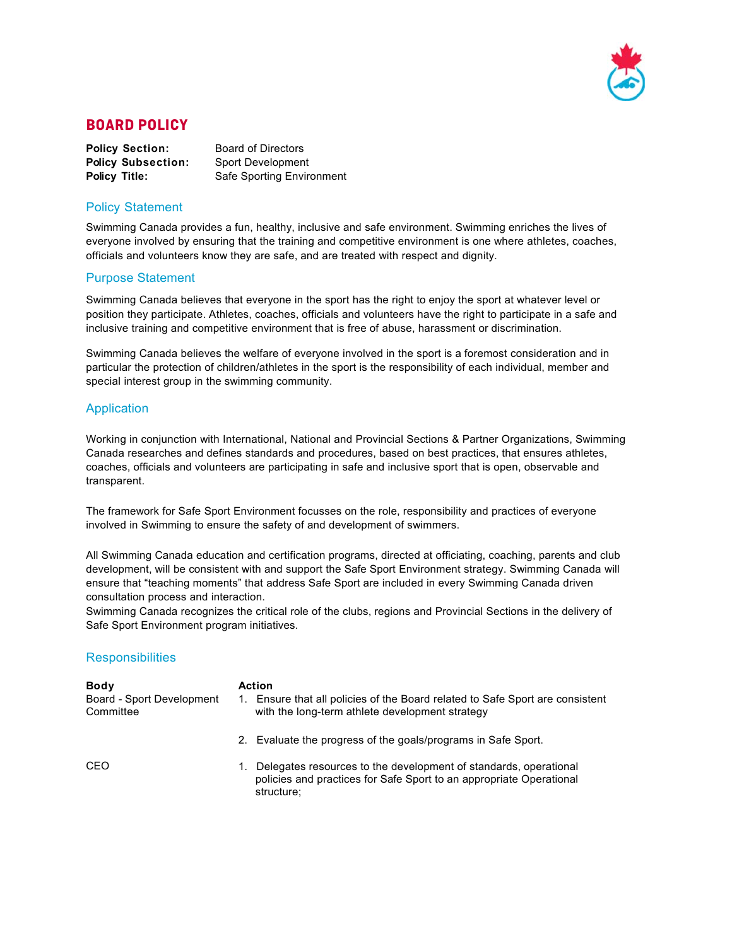

### **BOARD POLICY**

| <b>Policy Section:</b>    | <b>Board of Directors</b> |
|---------------------------|---------------------------|
| <b>Policy Subsection:</b> | <b>Sport Development</b>  |
| <b>Policy Title:</b>      | Safe Sporting Environment |

#### Policy Statement

Swimming Canada provides a fun, healthy, inclusive and safe environment. Swimming enriches the lives of everyone involved by ensuring that the training and competitive environment is one where athletes, coaches, officials and volunteers know they are safe, and are treated with respect and dignity.

#### Purpose Statement

Swimming Canada believes that everyone in the sport has the right to enjoy the sport at whatever level or position they participate. Athletes, coaches, officials and volunteers have the right to participate in a safe and inclusive training and competitive environment that is free of abuse, harassment or discrimination.

Swimming Canada believes the welfare of everyone involved in the sport is a foremost consideration and in particular the protection of children/athletes in the sport is the responsibility of each individual, member and special interest group in the swimming community.

#### Application

Working in conjunction with International, National and Provincial Sections & Partner Organizations, Swimming Canada researches and defines standards and procedures, based on best practices, that ensures athletes, coaches, officials and volunteers are participating in safe and inclusive sport that is open, observable and transparent.

The framework for Safe Sport Environment focusses on the role, responsibility and practices of everyone involved in Swimming to ensure the safety of and development of swimmers.

All Swimming Canada education and certification programs, directed at officiating, coaching, parents and club development, will be consistent with and support the Safe Sport Environment strategy. Swimming Canada will ensure that "teaching moments" that address Safe Sport are included in every Swimming Canada driven consultation process and interaction.

Swimming Canada recognizes the critical role of the clubs, regions and Provincial Sections in the delivery of Safe Sport Environment program initiatives.

#### **Responsibilities**

| <b>Body</b><br>Board - Sport Development<br>Committee | $1_{-}$ | <b>Action</b><br>Ensure that all policies of the Board related to Safe Sport are consistent<br>with the long-term athlete development strategy        |
|-------------------------------------------------------|---------|-------------------------------------------------------------------------------------------------------------------------------------------------------|
|                                                       |         | 2. Evaluate the progress of the goals/programs in Safe Sport.                                                                                         |
| CEO.                                                  | 1.      | Delegates resources to the development of standards, operational<br>policies and practices for Safe Sport to an appropriate Operational<br>structure: |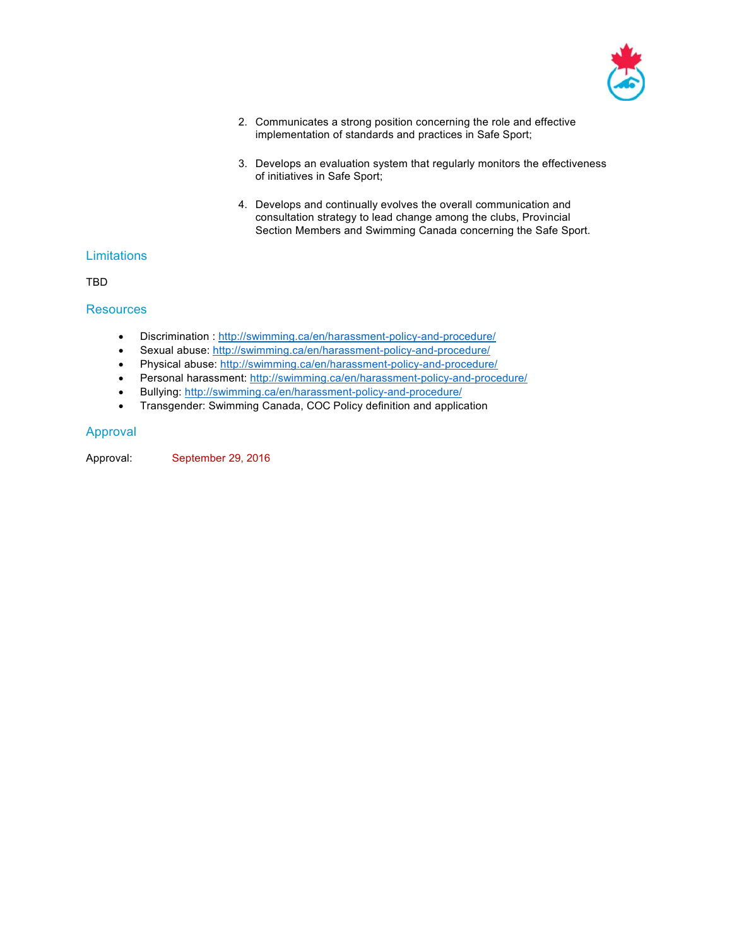

- 2. Communicates a strong position concerning the role and effective implementation of standards and practices in Safe Sport;
- 3. Develops an evaluation system that regularly monitors the effectiveness of initiatives in Safe Sport;
- 4. Develops and continually evolves the overall communication and consultation strategy to lead change among the clubs, Provincial Section Members and Swimming Canada concerning the Safe Sport.

#### **Limitations**

TBD

#### **Resources**

- Discrimination : http://swimming.ca/en/harassment-policy-and-procedure/
- Sexual abuse: http://swimming.ca/en/harassment-policy-and-procedure/
- Physical abuse: http://swimming.ca/en/harassment-policy-and-procedure/
- Personal harassment: http://swimming.ca/en/harassment-policy-and-procedure/
- Bullying: http://swimming.ca/en/harassment-policy-and-procedure/
- Transgender: Swimming Canada, COC Policy definition and application

#### Approval

Approval: September 29, 2016